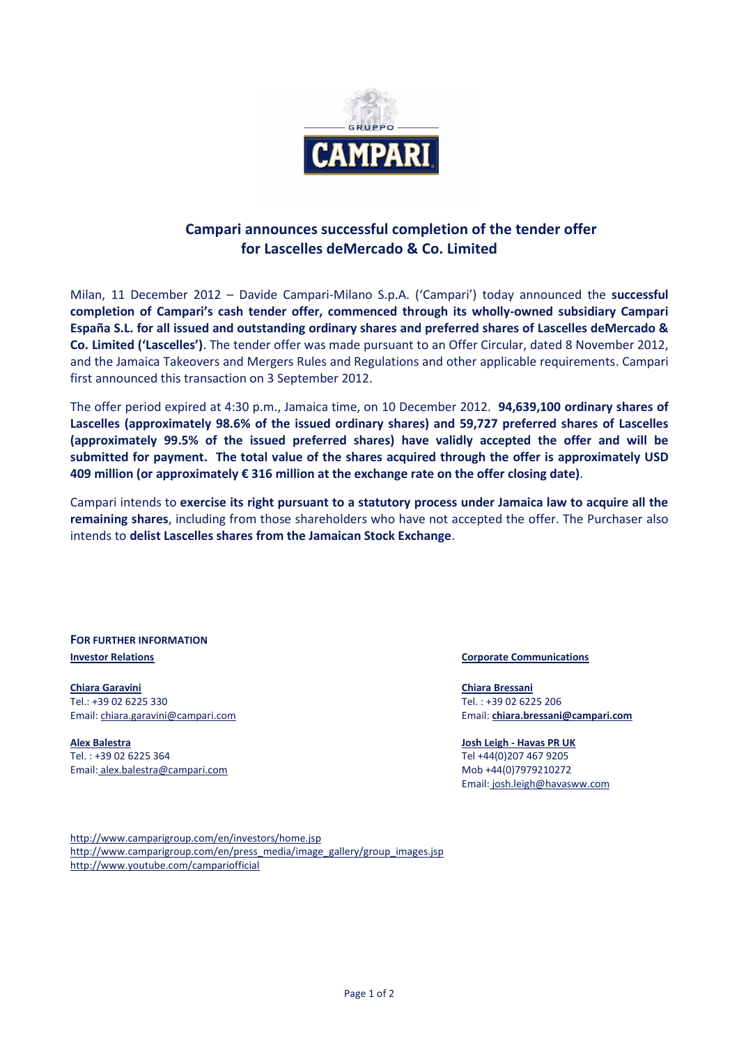

## **Campari announces successful completion of the tender offer for Lascelles deMercado & Co. Limited**

Milan, 11 December 2012 – Davide Campari-Milano S.p.A. ('Campari') today announced the **successful completion of Campari's cash tender offer, commenced through its wholly-owned subsidiary Campari España S.L. for all issued and outstanding ordinary shares and preferred shares of Lascelles deMercado & Co. Limited ('Lascelles')**. The tender offer was made pursuant to an Offer Circular, dated 8 November 2012, and the Jamaica Takeovers and Mergers Rules and Regulations and other applicable requirements. Campari first announced this transaction on 3 September 2012.

The offer period expired at 4:30 p.m., Jamaica time, on 10 December 2012. **94,639,100 ordinary shares of Lascelles (approximately 98.6% of the issued ordinary shares) and 59,727 preferred shares of Lascelles (approximately 99.5% of the issued preferred shares) have validly accepted the offer and will be submitted for payment. The total value of the shares acquired through the offer is approximately USD 409 million (or approximately € 316 million at the exchange rate on the offer closing date)**.

Campari intends to **exercise its right pursuant to a statutory process under Jamaica law to acquire all the remaining shares**, including from those shareholders who have not accepted the offer. The Purchaser also intends to **delist Lascelles shares from the Jamaican Stock Exchange**.

**FOR FURTHER INFORMATION Investor Relations Corporate Communications** 

**Chiara Garavini** Tel.: +39 02 6225 330 Email: chiara.garavini@campari.com

**Alex Balestra** Tel. : +39 02 6225 364 Email: alex.balestra@campari.com

**Chiara Bressani** Tel. : +39 02 6225 206 Email: **[chiara.bressani@campari.com](mailto:chiara.bressani@campari.com)**

**Josh Leigh - Havas PR UK** Tel +44(0)207 467 9205 Mob +44(0)7979210272

Email: [josh.leigh@havasww.com](mailto:josh.leigh@havasww.com)

<http://www.camparigroup.com/en/investors/home.jsp> [http://www.camparigroup.com/en/press\\_media/image\\_gallery/group\\_images.jsp](http://www.camparigroup.com/en/press_media/image_gallery/group_images.jsp) http://www.youtube.com/campariofficial